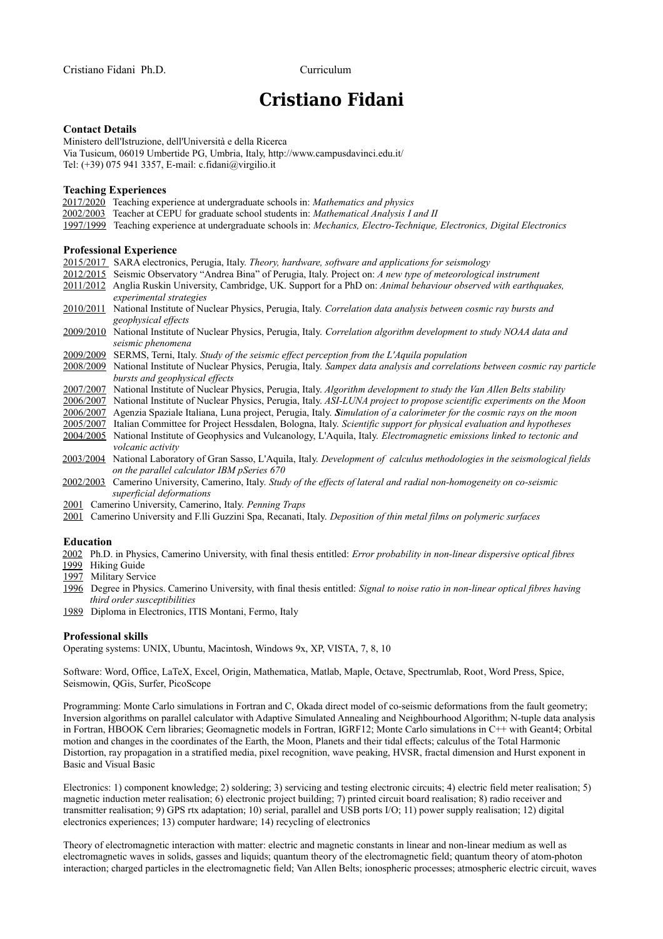# **Cristiano Fidani**

## **Contact Details**

Ministero dell'Istruzione, dell'Università e della Ricerca Via Tusicum, 06019 Umbertide PG, Umbria, Italy, http://www.campusdavinci.edu.it/ Tel: (+39) 075 941 3357, E-mail: [c.fidani@virgilio.it](mailto:c.fidani@virgilio.it)

## **Teaching Experiences**

2017/2020 Teaching experience at undergraduate schools in: *Mathematics and physics*

- 2002/2003 Teacher at CEPU for graduate school students in: *Mathematical Analysis I and II*
- 1997/1999 Teaching experience at undergraduate schools in: *Mechanics, Electro-Technique, Electronics, Digital Electronics*

## **Professional Experience**

- 2015/2017 SARA electronics, Perugia, Italy. *Theory, hardware, software and applications for seismology*
- 2012/2015 Seismic Observatory "Andrea Bina" of Perugia, Italy. Project on: *A new type of meteorological instrument*
- 2011/2012 Anglia Ruskin University, Cambridge, UK. Support for a PhD on: *Animal behaviour observed with earthquakes, experimental strategies*
- 2010/2011 National Institute of Nuclear Physics, Perugia, Italy. *Correlation data analysis between cosmic ray bursts and geophysical effects*
- 2009/2010 National Institute of Nuclear Physics, Perugia, Italy. *Correlation algorithm development to study NOAA data and seismic phenomena*
- 2009/2009 SERMS, Terni, Italy. *Study of the seismic effect perception from the L'Aquila population*
- 2008/2009 National Institute of Nuclear Physics, Perugia, Italy. *Sampex data analysis and correlations between cosmic ray particle bursts and geophysical effects*
- 2007/2007 National Institute of Nuclear Physics, Perugia, Italy. *Algorithm development to study the Van Allen Belts stability*

2006/2007 National Institute of Nuclear Physics, Perugia, Italy. *ASI-LUNA project to propose scientific experiments on the Moon*

- 2006/2007 Agenzia Spaziale Italiana, Luna project, Perugia, Italy. *Simulation of a calorimeter for the cosmic rays on the moon*
- 2005/2007 Italian Committee for Project Hessdalen, Bologna, Italy. *Scientific support for physical evaluation and hypotheses*
- 2004/2005 National Institute of Geophysics and Vulcanology, L'Aquila, Italy. *Electromagnetic emissions linked to tectonic and volcanic activity*
- 2003/2004 National Laboratory of Gran Sasso, L'Aquila, Italy. *Development of calculus methodologies in the seismological fields on the parallel calculator IBM pSeries 670*
- 2002/2003 Camerino University, Camerino, Italy. *Study of the effects of lateral and radial non-homogeneity on co-seismic superficial deformations*
- 2001 Camerino University, Camerino, Italy. *Penning Traps*
- 2001 Camerino University and F.lli Guzzini Spa, Recanati, Italy. *Deposition of thin metal films on polymeric surfaces*

#### **Education**

2002 Ph.D. in Physics, Camerino University, with final thesis entitled: *Error probability in non-linear dispersive optical fibres*

- 1999 Hiking Guide
- 1997 Military Service
- 1996 Degree in Physics. Camerino University, with final thesis entitled: *Signal to noise ratio in non-linear optical fibres having third order susceptibilities*
- 1989 Diploma in Electronics, ITIS Montani, Fermo, Italy

#### **Professional skills**

Operating systems: UNIX, Ubuntu, Macintosh, Windows 9x, XP, VISTA, 7, 8, 10

Software: Word, Office, LaTeX, Excel, Origin, Mathematica, Matlab, Maple, Octave, Spectrumlab, Root, Word Press, Spice, Seismowin, QGis, Surfer, PicoScope

Programming: Monte Carlo simulations in Fortran and C, Okada direct model of co-seismic deformations from the fault geometry; Inversion algorithms on parallel calculator with Adaptive Simulated Annealing and Neighbourhood Algorithm; N-tuple data analysis in Fortran, HBOOK Cern libraries; Geomagnetic models in Fortran, IGRF12; Monte Carlo simulations in C++ with Geant4; Orbital motion and changes in the coordinates of the Earth, the Moon, Planets and their tidal effects; calculus of the Total Harmonic Distortion, ray propagation in a stratified media, pixel recognition, wave peaking, HVSR, fractal dimension and Hurst exponent in Basic and Visual Basic

Electronics: 1) component knowledge; 2) soldering; 3) servicing and testing electronic circuits; 4) electric field meter realisation; 5) magnetic induction meter realisation; 6) electronic project building; 7) printed circuit board realisation; 8) radio receiver and transmitter realisation; 9) GPS rtx adaptation; 10) serial, parallel and USB ports I/O; 11) power supply realisation; 12) digital electronics experiences; 13) computer hardware; 14) recycling of electronics

Theory of electromagnetic interaction with matter: electric and magnetic constants in linear and non-linear medium as well as electromagnetic waves in solids, gasses and liquids; quantum theory of the electromagnetic field; quantum theory of atom-photon interaction; charged particles in the electromagnetic field; Van Allen Belts; ionospheric processes; atmospheric electric circuit, waves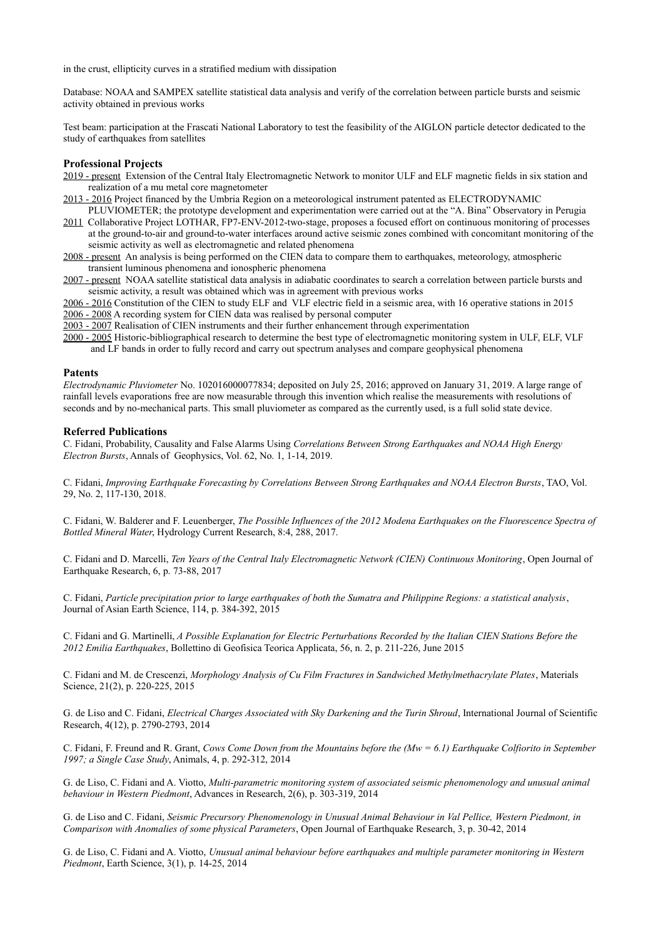in the crust, ellipticity curves in a stratified medium with dissipation

Database: NOAA and SAMPEX satellite statistical data analysis and verify of the correlation between particle bursts and seismic activity obtained in previous works

Test beam: participation at the Frascati National Laboratory to test the feasibility of the AIGLON particle detector dedicated to the study of earthquakes from satellites

# **Professional Projects**

- 2019 present Extension of the Central Italy Electromagnetic Network to monitor ULF and ELF magnetic fields in six station and realization of a mu metal core magnetometer
- 2013 2016 Project financed by the Umbria Region on a meteorological instrument patented as ELECTRODYNAMIC PLUVIOMETER; the prototype development and experimentation were carried out at the "A. Bina" Observatory in Perugia
- 2011 Collaborative Project LOTHAR, FP7-ENV-2012-two-stage, proposes a focused effort on continuous monitoring of processes at the ground-to-air and ground-to-water interfaces around active seismic zones combined with concomitant monitoring of the seismic activity as well as electromagnetic and related phenomena
- 2008 present An analysis is being performed on the CIEN data to compare them to earthquakes, meteorology, atmospheric transient luminous phenomena and ionospheric phenomena
- 2007 present NOAA satellite statistical data analysis in adiabatic coordinates to search a correlation between particle bursts and seismic activity, a result was obtained which was in agreement with previous works
- 2006 2016 Constitution of the CIEN to study ELF and VLF electric field in a seismic area, with 16 operative stations in 2015 2006 - 2008 A recording system for CIEN data was realised by personal computer
- 2003 2007 Realisation of CIEN instruments and their further enhancement through experimentation
- 2000 2005 Historic-bibliographical research to determine the best type of electromagnetic monitoring system in ULF, ELF, VLF and LF bands in order to fully record and carry out spectrum analyses and compare geophysical phenomena

#### **Patents**

*Electrodynamic Pluviometer* No. 102016000077834; deposited on July 25, 2016; approved on January 31, 2019. A large range of rainfall levels evaporations free are now measurable through this invention which realise the measurements with resolutions of seconds and by no-mechanical parts. This small pluviometer as compared as the currently used, is a full solid state device.

## **Referred Publications**

C. Fidani, Probability, Causality and False Alarms Using *Correlations Between Strong Earthquakes and NOAA High Energy Electron Bursts*, Annals of Geophysics, Vol. 62, No. 1, 1-14, 2019.

C. Fidani, *Improving Earthquake Forecasting by Correlations Between Strong Earthquakes and NOAA Electron Bursts*, TAO, Vol. 29, No. 2, 117-130, 2018.

C. Fidani, W. Balderer and F. Leuenberger, *The Possible Influences of the 2012 Modena Earthquakes on the Fluorescence Spectra of Bottled Mineral Water*, Hydrology Current Research, 8:4, 288, 2017.

C. Fidani and D. Marcelli, *Ten Years of the Central Italy Electromagnetic Network (CIEN) Continuous Monitoring*, Open Journal of Earthquake Research, 6, p. 73-88, 2017

C. Fidani, *Particle precipitation prior to large earthquakes of both the Sumatra and Philippine Regions: a statistical analysis*, Journal of Asian Earth Science, 114, p. 384-392, 2015

C. Fidani and G. Martinelli, *A Possible Explanation for Electric Perturbations Recorded by the Italian CIEN Stations Before the 2012 Emilia Earthquakes*, Bollettino di Geofisica Teorica Applicata, 56, n. 2, p. 211-226, June 2015

C. Fidani and M. de Crescenzi, *Morphology Analysis of Cu Film Fractures in Sandwiched Methylmethacrylate Plates*, Materials Science, 21(2), p. 220-225, 2015

G. de Liso and C. Fidani, *Electrical Charges Associated with Sky Darkening and the Turin Shroud*, International Journal of Scientific Research, 4(12), p. 2790-2793, 2014

C. Fidani, F. Freund and R. Grant, *Cows Come Down from the Mountains before the (Mw = 6.1) Earthquake Colfiorito in September 1997; a Single Case Study*, Animals, 4, p. 292-312, 2014

G. de Liso, C. Fidani and A. Viotto, *Multi-parametric monitoring system of associated seismic phenomenology and unusual animal behaviour in Western Piedmont*, Advances in Research, 2(6), p. 303-319, 2014

G. de Liso and C. Fidani, *Seismic Precursory Phenomenology in Unusual Animal Behaviour in Val Pellice, Western Piedmont, in Comparison with Anomalies of some physical Parameters*, Open Journal of Earthquake Research, 3, p. 30-42, 2014

G. de Liso, C. Fidani and A. Viotto, *Unusual animal behaviour before earthquakes and multiple parameter monitoring in Western Piedmont*, Earth Science, 3(1), p. 14-25, 2014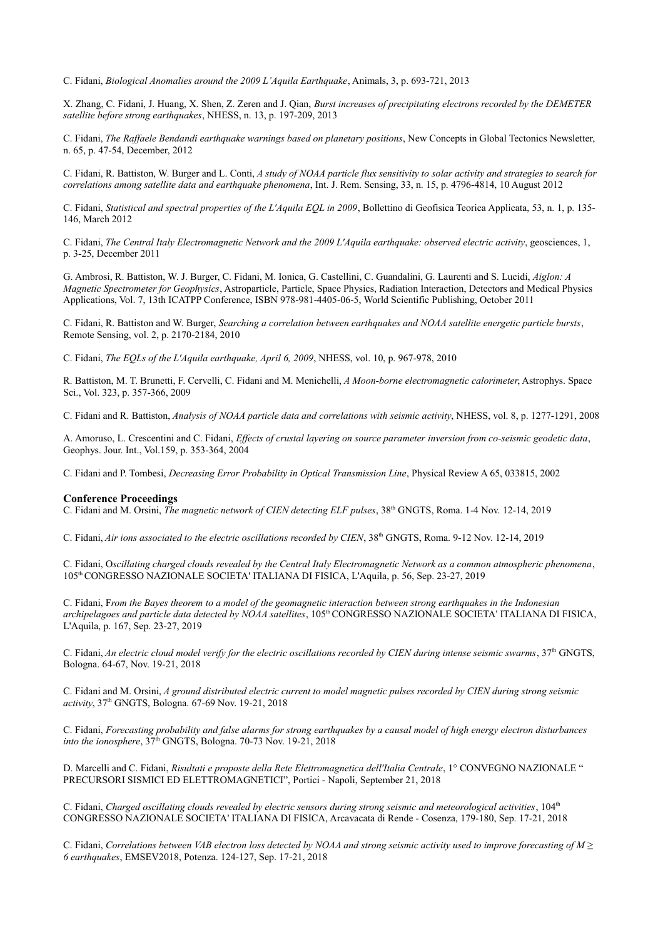C. Fidani, *Biological Anomalies around the 2009 L'Aquila Earthquake*, Animals, 3, p. 693-721, 2013

X. Zhang, C. Fidani, J. Huang, X. Shen, Z. Zeren and J. Qian, *Burst increases of precipitating electrons recorded by the DEMETER satellite before strong earthquakes*, NHESS, n. 13, p. 197-209, 2013

C. Fidani, *The Raffaele Bendandi earthquake warnings based on planetary positions*, New Concepts in Global Tectonics Newsletter, n. 65, p. 47-54, December, 2012

C. Fidani, R. Battiston, W. Burger and L. Conti, *A study of NOAA particle flux sensitivity to solar activity and strategies to search for correlations among satellite data and earthquake phenomena*, Int. J. Rem. Sensing, 33, n. 15, p. 4796-4814, 10 August 2012

C. Fidani, *Statistical and spectral properties of the L'Aquila EQL in 2009*, Bollettino di Geofisica Teorica Applicata, 53, n. 1, p. 135- 146, March 2012

C. Fidani, *The Central Italy Electromagnetic Network and the 2009 L'Aquila earthquake: observed electric activity*, geosciences, 1, p. 3-25, December 2011

G. Ambrosi, R. Battiston, W. J. Burger, C. Fidani, M. Ionica, G. Castellini, C. Guandalini, G. Laurenti and S. Lucidi, *Aiglon: A Magnetic Spectrometer for Geophysics*, Astroparticle, Particle, Space Physics, Radiation Interaction, Detectors and Medical Physics Applications, Vol. 7, 13th ICATPP Conference, ISBN 978-981-4405-06-5, World Scientific Publishing, October 2011

C. Fidani, R. Battiston and W. Burger, *Searching a correlation between earthquakes and NOAA satellite energetic particle bursts*, Remote Sensing, vol. 2, p. 2170-2184, 2010

C. Fidani, *The EQLs of the L'Aquila earthquake, April 6, 2009*, NHESS, vol. 10, p. 967-978, 2010

R. Battiston, M. T. Brunetti, F. Cervelli, C. Fidani and M. Menichelli, *A Moon-borne electromagnetic calorimeter*, Astrophys. Space Sci., Vol. 323, p. 357-366, 2009

C. Fidani and R. Battiston, *Analysis of NOAA particle data and correlations with seismic activity*, NHESS, vol. 8, p. 1277-1291, 2008

A. Amoruso, L. Crescentini and C. Fidani, *Effects of crustal layering on source parameter inversion from co-seismic geodetic data*, Geophys. Jour. Int., Vol.159, p. 353-364, 2004

C. Fidani and P. Tombesi, *Decreasing Error Probability in Optical Transmission Line*, Physical Review A 65, 033815, 2002

## **Conference Proceedings**

C. Fidani and M. Orsini, *The magnetic network of CIEN detecting ELF pulses*, 38th GNGTS, Roma. 1-4 Nov. 12-14, 2019

C. Fidani, *Air ions associated to the electric oscillations recorded by CIEN*, 38th GNGTS, Roma. 9-12 Nov. 12-14, 2019

C. Fidani, O*scillating charged clouds revealed by the Central Italy Electromagnetic Network as a common atmospheric phenomena*, 105th CONGRESSO NAZIONALE SOCIETA' ITALIANA DI FISICA, L'Aquila, p. 56, Sep. 23-27, 2019

C. Fidani, F*rom the Bayes theorem to a model of the geomagnetic interaction between strong earthquakes in the Indonesian archipelagoes and particle data detected by NOAA satellites*, 105th CONGRESSO NAZIONALE SOCIETA' ITALIANA DI FISICA, L'Aquila, p. 167, Sep. 23-27, 2019

C. Fidani, *An electric cloud model verify for the electric oscillations recorded by CIEN during intense seismic swarms*, 37th GNGTS, Bologna. 64-67, Nov. 19-21, 2018

C. Fidani and M. Orsini, *A ground distributed electric current to model magnetic pulses recorded by CIEN during strong seismic activity*, 37th GNGTS, Bologna. 67-69 Nov. 19-21, 2018

C. Fidani, *Forecasting probability and false alarms for strong earthquakes by a causal model of high energy electron disturbances into the ionosphere*,  $37<sup>th</sup>$  GNGTS, Bologna. 70-73 Nov. 19-21, 2018

D. Marcelli and C. Fidani, *Risultati e proposte della Rete Elettromagnetica dell'Italia Centrale*, 1° CONVEGNO NAZIONALE " PRECURSORI SISMICI ED ELETTROMAGNETICI", Portici - Napoli, September 21, 2018

C. Fidani, *Charged oscillating clouds revealed by electric sensors during strong seismic and meteorological activities*, 104<sup>th</sup> CONGRESSO NAZIONALE SOCIETA' ITALIANA DI FISICA, Arcavacata di Rende - Cosenza, 179-180, Sep. 17-21, 2018

C. Fidani, *Correlations between VAB electron loss detected by NOAA and strong seismic activity used to improve forecasting of M ≥ 6 earthquakes*, EMSEV2018, Potenza. 124-127, Sep. 17-21, 2018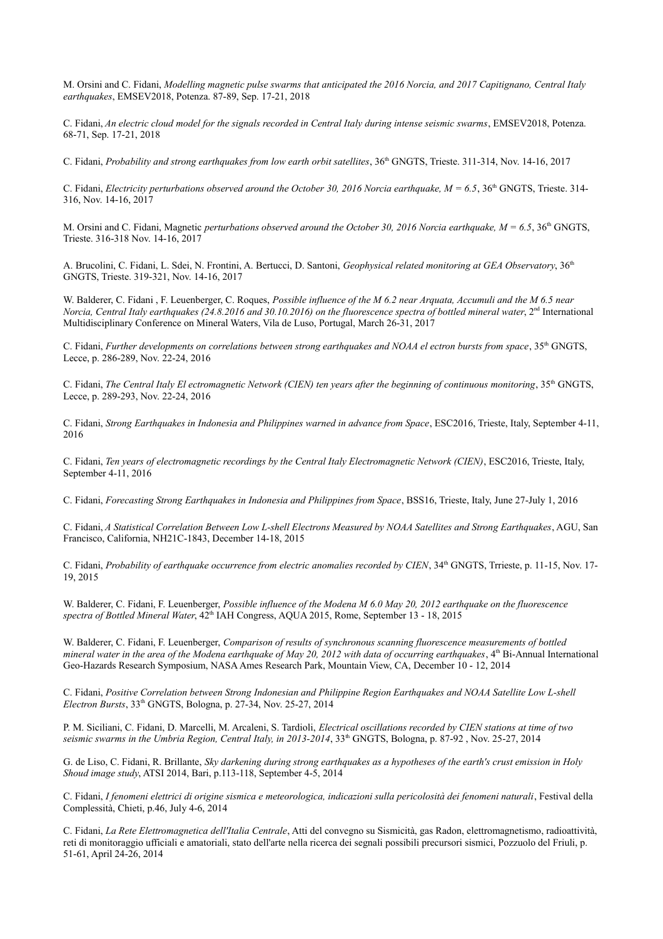M. Orsini and C. Fidani, *Modelling magnetic pulse swarms that anticipated the 2016 Norcia, and 2017 Capitignano, Central Italy earthquakes*, EMSEV2018, Potenza. 87-89, Sep. 17-21, 2018

C. Fidani, *An electric cloud model for the signals recorded in Central Italy during intense seismic swarms*, EMSEV2018, Potenza. 68-71, Sep. 17-21, 2018

C. Fidani, *Probability and strong earthquakes from low earth orbit satellites*, 36<sup>th</sup> GNGTS, Trieste. 311-314, Nov. 14-16, 2017

C. Fidani, *Electricity perturbations observed around the October 30, 2016 Norcia earthquake, M* =  $6.5$ , 36<sup>th</sup> GNGTS, Trieste. 314-316, Nov. 14-16, 2017

M. Orsini and C. Fidani, Magnetic *perturbations observed around the October 30, 2016 Norcia earthquake, M* =  $6.5$ ,  $36<sup>th</sup>$  GNGTS, Trieste. 316-318 Nov. 14-16, 2017

A. Brucolini, C. Fidani, L. Sdei, N. Frontini, A. Bertucci, D. Santoni, *Geophysical related monitoring at GEA Observatory*, 36th GNGTS, Trieste. 319-321, Nov. 14-16, 2017

W. Balderer, C. Fidani , F. Leuenberger, C. Roques, *Possible influence of the M 6.2 near Arquata, Accumuli and the M 6.5 near Norcia, Central Italy earthquakes (24.8.2016 and 30.10.2016) on the fluorescence spectra of bottled mineral water*, 2<sup>nd</sup> International Multidisciplinary Conference on Mineral Waters, Vila de Luso, Portugal, March 26-31, 2017

C. Fidani, *Further developments on correlations between strong earthquakes and NOAA el ectron bursts from space*, 35th GNGTS, Lecce, p. 286-289, Nov. 22-24, 2016

C. Fidani, *The Central Italy El ectromagnetic Network (CIEN) ten years after the beginning of continuous monitoring*, 35th GNGTS, Lecce, p. 289-293, Nov. 22-24, 2016

C. Fidani, *Strong Earthquakes in Indonesia and Philippines warned in advance from Space*, ESC2016, Trieste, Italy, September 4-11, 2016

C. Fidani, *Ten years of electromagnetic recordings by the Central Italy Electromagnetic Network (CIEN)*, ESC2016, Trieste, Italy, September 4-11, 2016

C. Fidani, *Forecasting Strong Earthquakes in Indonesia and Philippines from Space*, BSS16, Trieste, Italy, June 27-July 1, 2016

C. Fidani, *A Statistical Correlation Between Low L-shell Electrons Measured by NOAA Satellites and Strong Earthquakes*, AGU, San Francisco, California, NH21C-1843, December 14-18, 2015

C. Fidani, *Probability of earthquake occurrence from electric anomalies recorded by CIEN*, 34<sup>th</sup> GNGTS, Trrieste, p. 11-15, Nov. 17-19, 2015

W. Balderer, C. Fidani, F. Leuenberger, *Possible influence of the Modena M 6.0 May 20, 2012 earthquake on the fluorescence*  spectra of Bottled Mineral Water,  $42^{\text{th}}$  IAH Congress, AQUA 2015, Rome, September 13 - 18, 2015

W. Balderer, C. Fidani, F. Leuenberger, *Comparison of results of synchronous scanning fluorescence measurements of bottled mineral water in the area of the Modena earthquake of May 20, 2012 with data of occurring earthquakes*, 4<sup>th</sup> Bi-Annual International Geo-Hazards Research Symposium, NASA Ames Research Park, Mountain View, CA, December 10 - 12, 2014

C. Fidani, *Positive Correlation between Strong Indonesian and Philippine Region Earthquakes and NOAA Satellite Low L-shell Electron Bursts*, 33th GNGTS, Bologna, p. 27-34, Nov. 25-27, 2014

P. M. Siciliani, C. Fidani, D. Marcelli, M. Arcaleni, S. Tardioli, *Electrical oscillations recorded by CIEN stations at time of two seismic swarms in the Umbria Region, Central Italy, in 2013-2014*, 33<sup>th</sup> GNGTS, Bologna, p. 87-92, Nov. 25-27, 2014

G. de Liso, C. Fidani, R. Brillante, *Sky darkening during strong earthquakes as a hypotheses of the earth's crust emission in Holy Shoud image study*, ATSI 2014, Bari, p.113-118, September 4-5, 2014

C. Fidani, I fenomeni elettrici di origine sismica e meteorologica, indicazioni sulla pericolosità dei fenomeni naturali, Festival della Complessità, Chieti, p.46, July 4-6, 2014

C. Fidani, *La Rete Elettromagnetica dell'Italia Centrale*, Atti del convegno su Sismicità, gas Radon, elettromagnetismo, radioattività, reti di monitoraggio ufficiali e amatoriali, stato dell'arte nella ricerca dei segnali possibili precursori sismici, Pozzuolo del Friuli, p. 51-61, April 24-26, 2014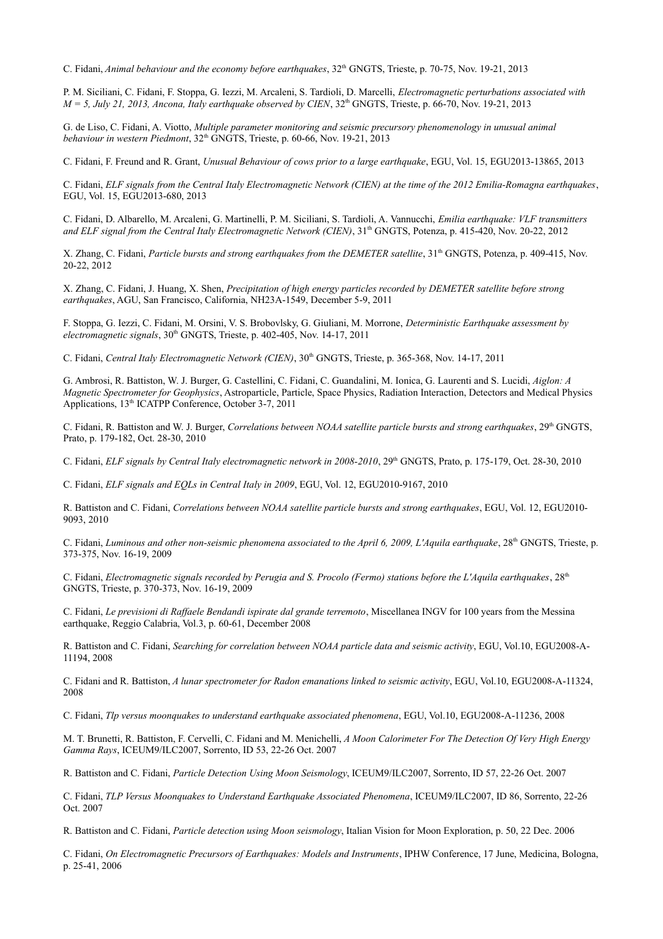C. Fidani, *Animal behaviour and the economy before earthquakes*, 32th GNGTS, Trieste, p. 70-75, Nov. 19-21, 2013

P. M. Siciliani, C. Fidani, F. Stoppa, G. Iezzi, M. Arcaleni, S. Tardioli, D. Marcelli, *Electromagnetic perturbations associated with*   $M = 5$ , July 21, 2013, Ancona, Italy earthquake observed by CIEN,  $32<sup>th</sup>$  GNGTS, Trieste, p. 66-70, Nov. 19-21, 2013

G. de Liso, C. Fidani, A. Viotto, *Multiple parameter monitoring and seismic precursory phenomenology in unusual animal*  behaviour in western Piedmont, 32<sup>th</sup> GNGTS, Trieste, p. 60-66, Nov. 19-21, 2013

C. Fidani, F. Freund and R. Grant, *Unusual Behaviour of cows prior to a large earthquake*, EGU, Vol. 15, EGU2013-13865, 2013

C. Fidani, *ELF signals from the Central Italy Electromagnetic Network (CIEN) at the time of the 2012 Emilia-Romagna earthquakes*, EGU, Vol. 15, EGU2013-680, 2013

C. Fidani, D. Albarello, M. Arcaleni, G. Martinelli, P. M. Siciliani, S. Tardioli, A. Vannucchi, *Emilia earthquake: VLF transmitters*  and ELF signal from the Central Italy Electromagnetic Network (CIEN), 31<sup>th</sup> GNGTS, Potenza, p. 415-420, Nov. 20-22, 2012

X. Zhang, C. Fidani, *Particle bursts and strong earthquakes from the DEMETER satellite*, 31<sup>th</sup> GNGTS, Potenza, p. 409-415, Nov. 20-22, 2012

X. Zhang, C. Fidani, J. Huang, X. Shen, *Precipitation of high energy particles recorded by DEMETER satellite before strong earthquakes*, AGU, San Francisco, California, NH23A-1549, December 5-9, 2011

F. Stoppa, G. Iezzi, C. Fidani, M. Orsini, V. S. Brobovlsky, G. Giuliani, M. Morrone, *Deterministic Earthquake assessment by electromagnetic signals*,  $30<sup>th</sup>$  GNGTS, Trieste, p. 402-405, Nov. 14-17, 2011

C. Fidani, *Central Italy Electromagnetic Network (CIEN)*,  $30<sup>th</sup>$  GNGTS, Trieste, p. 365-368, Nov. 14-17, 2011

G. Ambrosi, R. Battiston, W. J. Burger, G. Castellini, C. Fidani, C. Guandalini, M. Ionica, G. Laurenti and S. Lucidi, *Aiglon: A Magnetic Spectrometer for Geophysics*, Astroparticle, Particle, Space Physics, Radiation Interaction, Detectors and Medical Physics Applications, 13<sup>th</sup> ICATPP Conference, October 3-7, 2011

C. Fidani, R. Battiston and W. J. Burger, *Correlations between NOAA satellite particle bursts and strong earthquakes*, 29<sup>th</sup> GNGTS, Prato, p. 179-182, Oct. 28-30, 2010

C. Fidani, *ELF signals by Central Italy electromagnetic network in 2008-2010*, 29<sup>th</sup> GNGTS, Prato, p. 175-179, Oct. 28-30, 2010

C. Fidani, *ELF signals and EQLs in Central Italy in 2009*, EGU, Vol. 12, EGU2010-9167, 2010

R. Battiston and C. Fidani, *Correlations between NOAA satellite particle bursts and strong earthquakes*, EGU, Vol. 12, EGU2010- 9093, 2010

C. Fidani, *Luminous and other non-seismic phenomena associated to the April 6, 2009, L'Aquila earthquake*, 28<sup>th</sup> GNGTS, Trieste, p. 373-375, Nov. 16-19, 2009

C. Fidani, *Electromagnetic signals recorded by Perugia and S. Procolo (Fermo) stations before the L'Aquila earthquakes*, 28th GNGTS, Trieste, p. 370-373, Nov. 16-19, 2009

C. Fidani, *Le previsioni di Raffaele Bendandi ispirate dal grande terremoto*, Miscellanea INGV for 100 years from the Messina earthquake, Reggio Calabria, Vol.3, p. 60-61, December 2008

R. Battiston and C. Fidani, *Searching for correlation between NOAA particle data and seismic activity*, EGU, Vol.10, EGU2008-A-11194, 2008

C. Fidani and R. Battiston, *A lunar spectrometer for Radon emanations linked to seismic activity*, EGU, Vol.10, EGU2008-A-11324, 2008

C. Fidani, *Tlp versus moonquakes to understand earthquake associated phenomena*, EGU, Vol.10, EGU2008-A-11236, 2008

M. T. Brunetti, R. Battiston, F. Cervelli, C. Fidani and M. Menichelli, *A Moon Calorimeter For The Detection Of Very High Energy Gamma Rays*, ICEUM9/ILC2007, Sorrento, ID 53, 22-26 Oct. 2007

R. Battiston and C. Fidani, *Particle Detection Using Moon Seismology*, ICEUM9/ILC2007, Sorrento, ID 57, 22-26 Oct. 2007

C. Fidani, *TLP Versus Moonquakes to Understand Earthquake Associated Phenomena*, ICEUM9/ILC2007, ID 86, Sorrento, 22-26 Oct. 2007

R. Battiston and C. Fidani, *Particle detection using Moon seismology*, Italian Vision for Moon Exploration, p. 50, 22 Dec. 2006

C. Fidani, *On Electromagnetic Precursors of Earthquakes: Models and Instruments*, IPHW Conference, 17 June, Medicina, Bologna, p. 25-41, 2006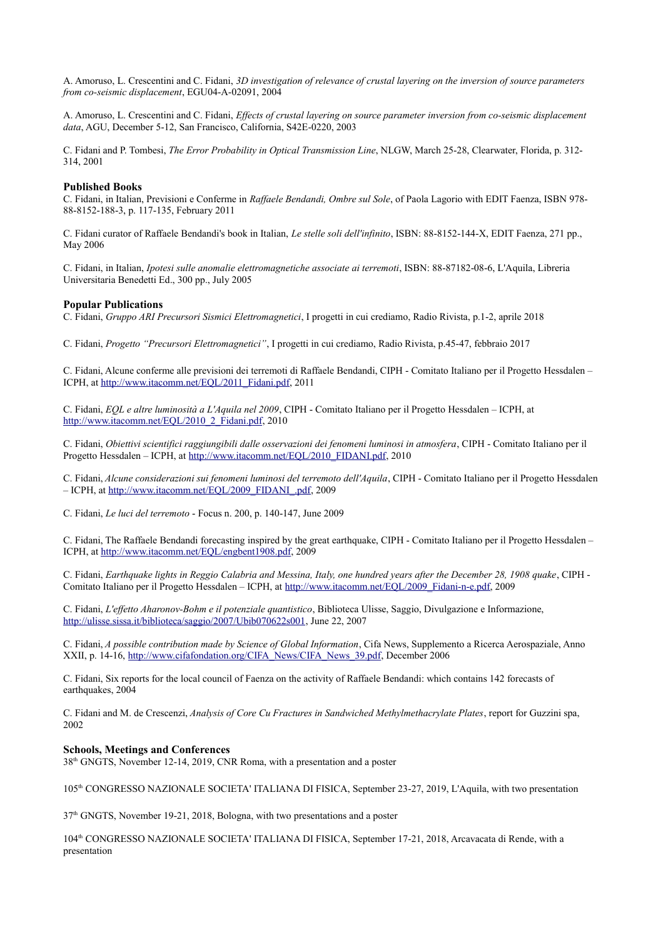A. Amoruso, L. Crescentini and C. Fidani, *3D investigation of relevance of crustal layering on the inversion of source parameters from co-seismic displacement*, EGU04-A-02091, 2004

A. Amoruso, L. Crescentini and C. Fidani, *Effects of crustal layering on source parameter inversion from co-seismic displacement data*, AGU, December 5-12, San Francisco, California, S42E-0220, 2003

C. Fidani and P. Tombesi, *The Error Probability in Optical Transmission Line*, NLGW, March 25-28, Clearwater, Florida, p. 312- 314, 2001

## **Published Books**

C. Fidani, in Italian, Previsioni e Conferme in *Raffaele Bendandi, Ombre sul Sole*, of Paola Lagorio with EDIT Faenza, ISBN 978- 88-8152-188-3, p. 117-135, February 2011

C. Fidani curator of Raffaele Bendandi's book in Italian, *Le stelle soli dell'infinito*, ISBN: 88-8152-144-X, EDIT Faenza, 271 pp., May 2006

C. Fidani, in Italian, *Ipotesi sulle anomalie elettromagnetiche associate ai terremoti*, ISBN: 88-87182-08-6, L'Aquila, Libreria Universitaria Benedetti Ed., 300 pp., July 2005

## **Popular Publications**

C. Fidani, *Gruppo ARI Precursori Sismici Elettromagnetici*, I progetti in cui crediamo, Radio Rivista, p.1-2, aprile 2018

C. Fidani, *Progetto "Precursori Elettromagnetici"*, I progetti in cui crediamo, Radio Rivista, p.45-47, febbraio 2017

C. Fidani, Alcune conferme alle previsioni dei terremoti di Raffaele Bendandi, CIPH - Comitato Italiano per il Progetto Hessdalen – ICPH, at [http://www.itacomm.net/EQL/2011\\_Fidani.pdf,](http://www.itacomm.net/EQL/2011_Fidani.pdf) 2011

C. Fidani, *EQL e altre luminosità a L'Aquila nel 2009*, CIPH - Comitato Italiano per il Progetto Hessdalen – ICPH, at [http://www.itacomm.net/EQL/2010\\_2\\_Fidani.pdf,](http://www.itacomm.net/EQL/2010_2_Fidani.pdf) 2010

C. Fidani, *Obiettivi scientifici raggiungibili dalle osservazioni dei fenomeni luminosi in atmosfera*, CIPH - Comitato Italiano per il Progetto Hessdalen - ICPH, at [http://www.itacomm.net/EQL/2010\\_FIDANI.pdf,](http://www.itacomm.net/EQL/2010_FIDANI.pdf) 2010

C. Fidani, *Alcune considerazioni sui fenomeni luminosi del terremoto dell'Aquila*, CIPH - Comitato Italiano per il Progetto Hessdalen – ICPH, at [http://www.itacomm.net/EQL/2009\\_FIDANI\\_.pdf,](http://www.itacomm.net/EQL/2009_FIDANI_.pdf) 2009

C. Fidani, *Le luci del terremoto* - Focus n. 200, p. 140-147, June 2009

C. Fidani, The Raffaele Bendandi forecasting inspired by the great earthquake, CIPH - Comitato Italiano per il Progetto Hessdalen – ICPH, at [http://www.itacomm.net/EQL/engbent1908.pdf,](http://www.itacomm.net/EQL/engbent1908.pdf) 2009

C. Fidani, *Earthquake lights in Reggio Calabria and Messina, Italy, one hundred years after the December 28, 1908 quake*, CIPH - Comitato Italiano per il Progetto Hessdalen – ICPH, at [http://www.itacomm.net/EQL/2009\\_Fidani-n-e.pdf,](http://www.itacomm.net/EQL/2009_Fidani-n-e.pdf) 2009

C. Fidani, *L'effetto Aharonov-Bohm e il potenziale quantistico*, Biblioteca Ulisse, Saggio, Divulgazione e Informazione, [http://ulisse.sissa.it/biblioteca/saggio/2007/Ubib070622s001,](http://ulisse.sissa.it/biblioteca/saggio/2007/Ubib070622s001) June 22, 2007

C. Fidani, *A possible contribution made by Science of Global Information*, Cifa News, Supplemento a Ricerca Aerospaziale, Anno XXII, p. 14-16, [http://www.cifafondation.org/CIFA\\_News/CIFA\\_News\\_39.pdf,](http://www.cifafondation.org/CIFA_News/CIFA_News_39.pdf) December 2006

C. Fidani, Six reports for the local council of Faenza on the activity of Raffaele Bendandi: which contains 142 forecasts of earthquakes, 2004

C. Fidani and M. de Crescenzi, *Analysis of Core Cu Fractures in Sandwiched Methylmethacrylate Plates*, report for Guzzini spa, 2002

## **Schools, Meetings and Conferences**

38th GNGTS, November 12-14, 2019, CNR Roma, with a presentation and a poster

105th CONGRESSO NAZIONALE SOCIETA' ITALIANA DI FISICA, September 23-27, 2019, L'Aquila, with two presentation

37th GNGTS, November 19-21, 2018, Bologna, with two presentations and a poster

104th CONGRESSO NAZIONALE SOCIETA' ITALIANA DI FISICA, September 17-21, 2018, Arcavacata di Rende, with a presentation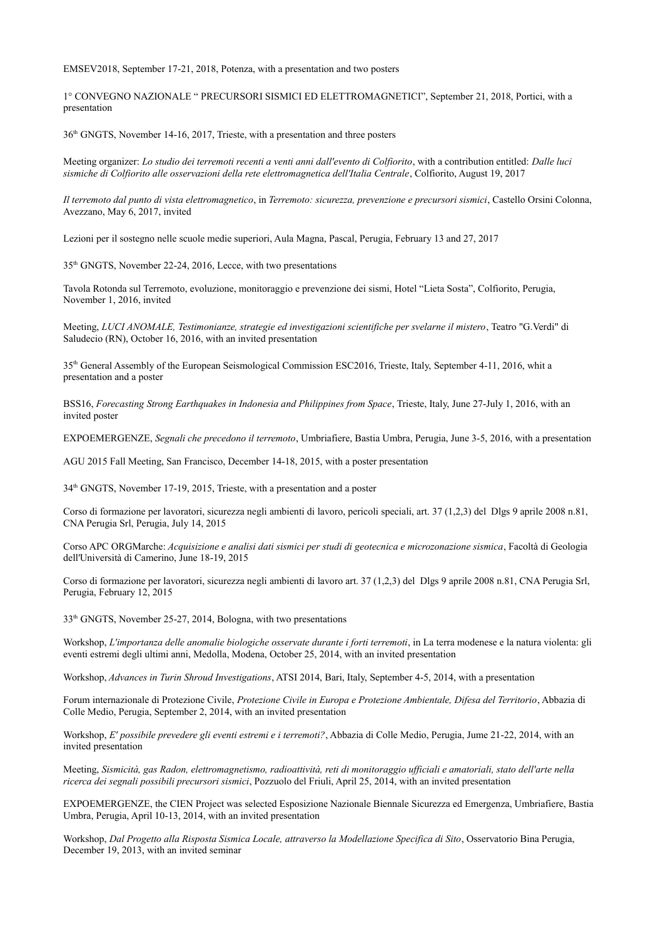EMSEV2018, September 17-21, 2018, Potenza, with a presentation and two posters

1° CONVEGNO NAZIONALE " PRECURSORI SISMICI ED ELETTROMAGNETICI", September 21, 2018, Portici, with a presentation

 $36<sup>th</sup>$  GNGTS, November 14-16, 2017, Trieste, with a presentation and three posters

Meeting organizer: *Lo studio dei terremoti recenti a venti anni dall'evento di Colfiorito*, with a contribution entitled: *Dalle luci sismiche di Colfiorito alle osservazioni della rete elettromagnetica dell'Italia Centrale*, Colfiorito, August 19, 2017

*Il terremoto dal punto di vista elettromagnetico*, in *Terremoto: sicurezza, prevenzione e precursori sismici*, Castello Orsini Colonna, Avezzano, May 6, 2017, invited

Lezioni per il sostegno nelle scuole medie superiori, Aula Magna, Pascal, Perugia, February 13 and 27, 2017

35th GNGTS, November 22-24, 2016, Lecce, with two presentations

Tavola Rotonda sul Terremoto, evoluzione, monitoraggio e prevenzione dei sismi, Hotel "Lieta Sosta", Colfiorito, Perugia, November 1, 2016, invited

Meeting, *LUCI ANOMALE, Testimonianze, strategie ed investigazioni scientifiche per svelarne il mistero*, Teatro "G.Verdi" di Saludecio (RN), October 16, 2016, with an invited presentation

35th General Assembly of the European Seismological Commission ESC2016, Trieste, Italy, September 4-11, 2016, whit a presentation and a poster

BSS16, *Forecasting Strong Earthquakes in Indonesia and Philippines from Space*, Trieste, Italy, June 27-July 1, 2016, with an invited poster

EXPOEMERGENZE, *Segnali che precedono il terremoto*, Umbriafiere, Bastia Umbra, Perugia, June 3-5, 2016, with a presentation

AGU 2015 Fall Meeting, San Francisco, December 14-18, 2015, with a poster presentation

34th GNGTS, November 17-19, 2015, Trieste, with a presentation and a poster

Corso di formazione per lavoratori, sicurezza negli ambienti di lavoro, pericoli speciali, art. 37 (1,2,3) del Dlgs 9 aprile 2008 n.81, CNA Perugia Srl, Perugia, July 14, 2015

Corso APC ORGMarche: *Acquisizione e analisi dati sismici per studi di geotecnica e microzonazione sismica*, Facoltà di Geologia dell'Università di Camerino, June 18-19, 2015

Corso di formazione per lavoratori, sicurezza negli ambienti di lavoro art. 37 (1,2,3) del Dlgs 9 aprile 2008 n.81, CNA Perugia Srl, Perugia, February 12, 2015

33th GNGTS, November 25-27, 2014, Bologna, with two presentations

Workshop, *L'importanza delle anomalie biologiche osservate durante i forti terremoti*, in La terra modenese e la natura violenta: gli eventi estremi degli ultimi anni, Medolla, Modena, October 25, 2014, with an invited presentation

Workshop, *Advances in Turin Shroud Investigations*, ATSI 2014, Bari, Italy, September 4-5, 2014, with a presentation

Forum internazionale di Protezione Civile, *Protezione Civile in Europa e Protezione Ambientale, Difesa del Territorio*, Abbazia di Colle Medio, Perugia, September 2, 2014, with an invited presentation

Workshop, *E' possibile prevedere gli eventi estremi e i terremoti?*, Abbazia di Colle Medio, Perugia, Jume 21-22, 2014, with an invited presentation

Meeting, *Sismicità, gas Radon, elettromagnetismo, radioattività, reti di monitoraggio ufficiali e amatoriali, stato dell'arte nella ricerca dei segnali possibili precursori sismici*, Pozzuolo del Friuli, April 25, 2014, with an invited presentation

EXPOEMERGENZE, the CIEN Project was selected Esposizione Nazionale Biennale Sicurezza ed Emergenza, Umbriafiere, Bastia Umbra, Perugia, April 10-13, 2014, with an invited presentation

Workshop, *Dal Progetto alla Risposta Sismica Locale, attraverso la Modellazione Specifica di Sito*, Osservatorio Bina Perugia, December 19, 2013, with an invited seminar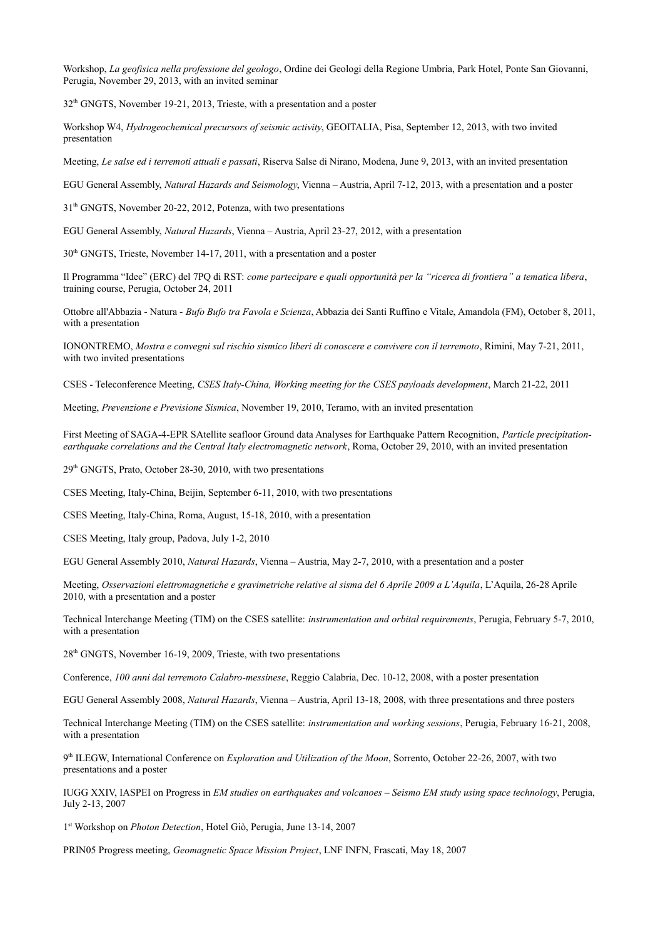Workshop, *La geofisica nella professione del geologo*, Ordine dei Geologi della Regione Umbria, Park Hotel, Ponte San Giovanni, Perugia, November 29, 2013, with an invited seminar

 $32<sup>th</sup>$  GNGTS, November 19-21, 2013, Trieste, with a presentation and a poster

Workshop W4, *Hydrogeochemical precursors of seismic activity*, GEOITALIA, Pisa, September 12, 2013, with two invited presentation

Meeting, *Le salse ed i terremoti attuali e passati*, Riserva Salse di Nirano, Modena, June 9, 2013, with an invited presentation

EGU General Assembly, *Natural Hazards and Seismology*, Vienna – Austria, April 7-12, 2013, with a presentation and a poster

31th GNGTS, November 20-22, 2012, Potenza, with two presentations

EGU General Assembly, *Natural Hazards*, Vienna – Austria, April 23-27, 2012, with a presentation

30<sup>th</sup> GNGTS, Trieste, November 14-17, 2011, with a presentation and a poster

Il Programma "Idee" (ERC) del 7PQ di RST: *come partecipare e quali opportunità per la "ricerca di frontiera" a tematica libera*, training course, Perugia, October 24, 2011

Ottobre all'Abbazia - Natura - *Bufo Bufo tra Favola e Scienza*, Abbazia dei Santi Ruffino e Vitale, Amandola (FM), October 8, 2011, with a presentation

IONONTREMO, *Mostra e convegni sul rischio sismico liberi di conoscere e convivere con il terremoto*, Rimini, May 7-21, 2011, with two invited presentations

CSES - Teleconference Meeting, *CSES Italy-China, Working meeting for the CSES payloads development*, March 21-22, 2011

Meeting, *Prevenzione e Previsione Sismica*, November 19, 2010, Teramo, with an invited presentation

First Meeting of SAGA-4-EPR SAtellite seafloor Ground data Analyses for Earthquake Pattern Recognition, *Particle precipitationearthquake correlations and the Central Italy electromagnetic network*, Roma, October 29, 2010, with an invited presentation

 $29<sup>th</sup>$  GNGTS, Prato, October 28-30, 2010, with two presentations

CSES Meeting, Italy-China, Beijin, September 6-11, 2010, with two presentations

CSES Meeting, Italy-China, Roma, August, 15-18, 2010, with a presentation

CSES Meeting, Italy group, Padova, July 1-2, 2010

EGU General Assembly 2010, *Natural Hazards*, Vienna – Austria, May 2-7, 2010, with a presentation and a poster

Meeting, *Osservazioni elettromagnetiche e gravimetriche relative al sisma del 6 Aprile 2009 a L'Aquila*, L'Aquila, 26-28 Aprile 2010, with a presentation and a poster

Technical Interchange Meeting (TIM) on the CSES satellite: *instrumentation and orbital requirements*, Perugia, February 5-7, 2010, with a presentation

28th GNGTS, November 16-19, 2009, Trieste, with two presentations

Conference, *100 anni dal terremoto Calabro-messinese*, Reggio Calabria, Dec. 10-12, 2008, with a poster presentation

EGU General Assembly 2008, *Natural Hazards*, Vienna – Austria, April 13-18, 2008, with three presentations and three posters

Technical Interchange Meeting (TIM) on the CSES satellite: *instrumentation and working sessions*, Perugia, February 16-21, 2008, with a presentation

9<sup>th</sup> ILEGW, International Conference on *Exploration and Utilization of the Moon*, Sorrento, October 22-26, 2007, with two presentations and a poster

IUGG XXIV, IASPEI on Progress in *EM studies on earthquakes and volcanoes – Seismo EM study using space technology*, Perugia, July 2-13, 2007

1 st Workshop on *Photon Detection*, Hotel Giò, Perugia, June 13-14, 2007

PRIN05 Progress meeting, *Geomagnetic Space Mission Project*, LNF INFN, Frascati, May 18, 2007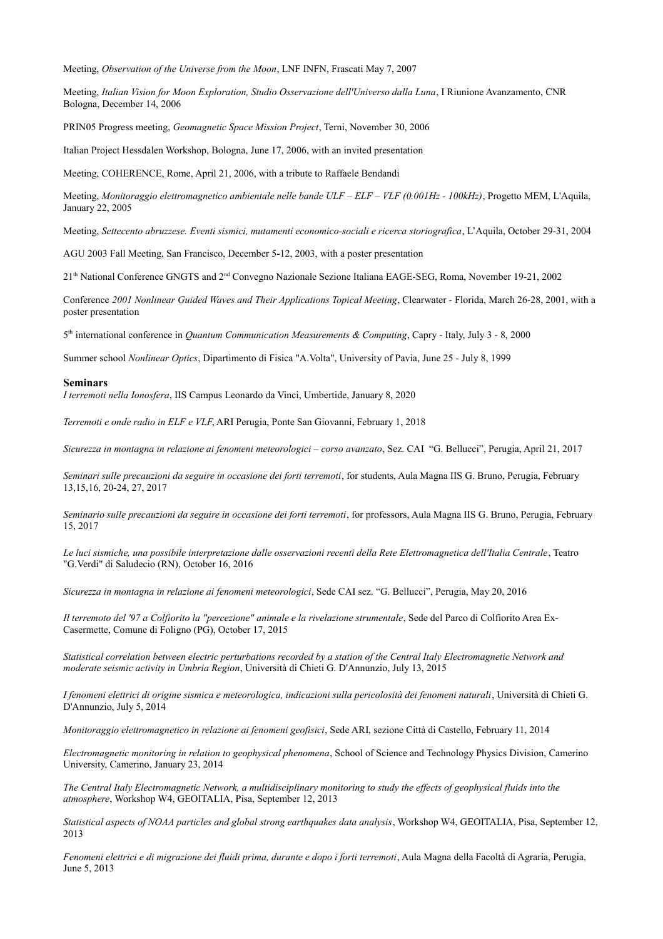Meeting, *Observation of the Universe from the Moon*, LNF INFN, Frascati May 7, 2007

Meeting, *Italian Vision for Moon Exploration, Studio Osservazione dell'Universo dalla Luna*, I Riunione Avanzamento, CNR Bologna, December 14, 2006

PRIN05 Progress meeting, *Geomagnetic Space Mission Project*, Terni, November 30, 2006

Italian Project Hessdalen Workshop, Bologna, June 17, 2006, with an invited presentation

Meeting, COHERENCE, Rome, April 21, 2006, with a tribute to Raffaele Bendandi

Meeting, *Monitoraggio elettromagnetico ambientale nelle bande ULF – ELF – VLF (0.001Hz - 100kHz)*, Progetto MEM, L'Aquila, January 22, 2005

Meeting, *Settecento abruzzese. Eventi sismici, mutamenti economico-sociali e ricerca storiografica*, L'Aquila, October 29-31, 2004

AGU 2003 Fall Meeting, San Francisco, December 5-12, 2003, with a poster presentation

21th National Conference GNGTS and 2nd Convegno Nazionale Sezione Italiana EAGE-SEG, Roma, November 19-21, 2002

Conference *2001 Nonlinear Guided Waves and Their Applications Topical Meeting*, Clearwater - Florida, March 26-28, 2001, with a poster presentation

5<sup>th</sup> international conference in *Quantum Communication Measurements & Computing*, Capry - Italy, July 3 - 8, 2000

Summer school *Nonlinear Optics*, Dipartimento di Fisica "A.Volta", University of Pavia, June 25 - July 8, 1999

#### **Seminars**

*I terremoti nella Ionosfera*, IIS Campus Leonardo da Vinci, Umbertide, January 8, 2020

*Terremoti e onde radio in ELF e VLF*, ARI Perugia, Ponte San Giovanni, February 1, 2018

*Sicurezza in montagna in relazione ai fenomeni meteorologici – corso avanzato*, Sez. CAI "G. Bellucci", Perugia, April 21, 2017

*Seminari sulle precauzioni da seguire in occasione dei forti terremoti*, for students, Aula Magna IIS G. Bruno, Perugia, February 13,15,16, 20-24, 27, 2017

*Seminario sulle precauzioni da seguire in occasione dei forti terremoti*, for professors, Aula Magna IIS G. Bruno, Perugia, February 15, 2017

*Le luci sismiche, una possibile interpretazione dalle osservazioni recenti della Rete Elettromagnetica dell'Italia Centrale*, Teatro "G.Verdi" di Saludecio (RN), October 16, 2016

*Sicurezza in montagna in relazione ai fenomeni meteorologici*, Sede CAI sez. "G. Bellucci", Perugia, May 20, 2016

*Il terremoto del '97 a Colfiorito la "percezione" animale e la rivelazione strumentale*, Sede del Parco di Colfiorito Area Ex-Casermette, Comune di Foligno (PG), October 17, 2015

*Statistical correlation between electric perturbations recorded by a station of the Central Italy Electromagnetic Network and moderate seismic activity in Umbria Region*, Università di Chieti G. D'Annunzio, July 13, 2015

*I fenomeni elettrici di origine sismica e meteorologica, indicazioni sulla pericolosità dei fenomeni naturali*, Università di Chieti G. D'Annunzio, July 5, 2014

*Monitoraggio elettromagnetico in relazione ai fenomeni geofisici*, Sede ARI, sezione Città di Castello, February 11, 2014

*Electromagnetic monitoring in relation to geophysical phenomena*, School of Science and Technology Physics Division, Camerino University, Camerino, January 23, 2014

*The Central Italy Electromagnetic Network, a multidisciplinary monitoring to study the effects of geophysical fluids into the atmosphere*, Workshop W4, GEOITALIA, Pisa, September 12, 2013

*Statistical aspects of NOAA particles and global strong earthquakes data analysis*, Workshop W4, GEOITALIA, Pisa, September 12, 2013

*Fenomeni elettrici e di migrazione dei fluidi prima, durante e dopo i forti terremoti*, Aula Magna della Facoltà di Agraria, Perugia, June 5, 2013